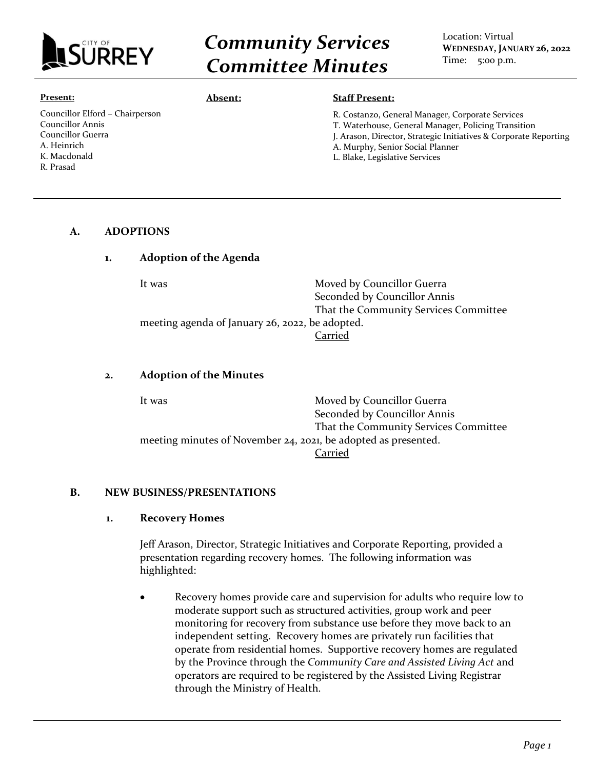

# *Community Services Committee Minutes*

#### **Present:**

Councillor Elford – Chairperson Councillor Annis Councillor Guerra A. Heinrich K. Macdonald R. Prasad

#### **Absent: Staff Present:**

R. Costanzo, General Manager, Corporate Services

- T. Waterhouse, General Manager, Policing Transition
- J. Arason, Director, Strategic Initiatives & Corporate Reporting
- A. Murphy, Senior Social Planner
- L. Blake, Legislative Services

#### **A. ADOPTIONS**

#### **1. Adoption of the Agenda**

| It was                                          | Moved by Councillor Guerra            |
|-------------------------------------------------|---------------------------------------|
|                                                 | Seconded by Councillor Annis          |
|                                                 | That the Community Services Committee |
| meeting agenda of January 26, 2022, be adopted. |                                       |
|                                                 | Carried                               |

#### **2. Adoption of the Minutes**

| It was | Moved by Councillor Guerra                                     |
|--------|----------------------------------------------------------------|
|        | Seconded by Councillor Annis                                   |
|        | That the Community Services Committee                          |
|        | meeting minutes of November 24, 2021, be adopted as presented. |
|        | Carried                                                        |

#### **B. NEW BUSINESS/PRESENTATIONS**

#### **1. Recovery Homes**

Jeff Arason, Director, Strategic Initiatives and Corporate Reporting, provided a presentation regarding recovery homes. The following information was highlighted:

• Recovery homes provide care and supervision for adults who require low to moderate support such as structured activities, group work and peer monitoring for recovery from substance use before they move back to an independent setting. Recovery homes are privately run facilities that operate from residential homes. Supportive recovery homes are regulated by the Province through the *Community Care and Assisted Living Act* and operators are required to be registered by the Assisted Living Registrar through the Ministry of Health.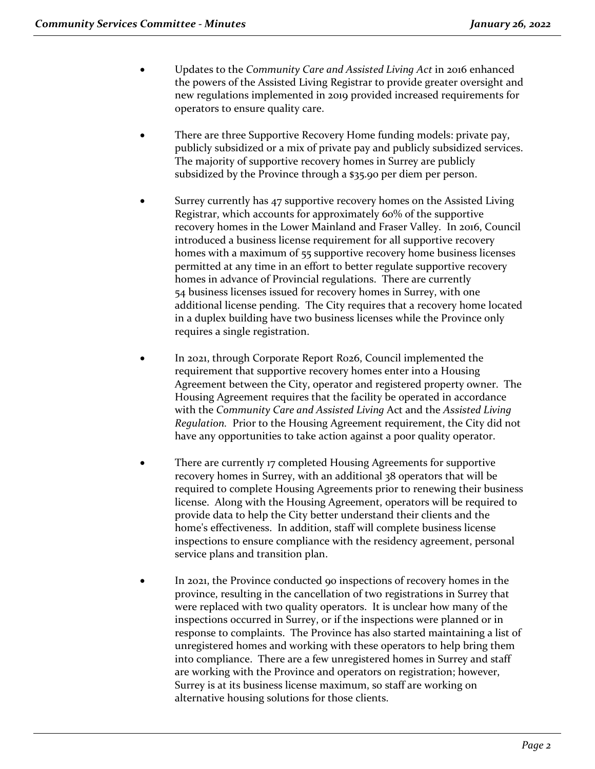- Updates to the *Community Care and Assisted Living Act* in 2016 enhanced the powers of the Assisted Living Registrar to provide greater oversight and new regulations implemented in 2019 provided increased requirements for operators to ensure quality care.
- There are three Supportive Recovery Home funding models: private pay, publicly subsidized or a mix of private pay and publicly subsidized services. The majority of supportive recovery homes in Surrey are publicly subsidized by the Province through a \$35.90 per diem per person.
- Surrey currently has 47 supportive recovery homes on the Assisted Living Registrar, which accounts for approximately 60% of the supportive recovery homes in the Lower Mainland and Fraser Valley. In 2016, Council introduced a business license requirement for all supportive recovery homes with a maximum of 55 supportive recovery home business licenses permitted at any time in an effort to better regulate supportive recovery homes in advance of Provincial regulations. There are currently 54 business licenses issued for recovery homes in Surrey, with one additional license pending. The City requires that a recovery home located in a duplex building have two business licenses while the Province only requires a single registration.
- In 2021, through Corporate Report R026, Council implemented the requirement that supportive recovery homes enter into a Housing Agreement between the City, operator and registered property owner. The Housing Agreement requires that the facility be operated in accordance with the *Community Care and Assisted Living* Act and the *Assisted Living Regulation.* Prior to the Housing Agreement requirement, the City did not have any opportunities to take action against a poor quality operator.
- There are currently 17 completed Housing Agreements for supportive recovery homes in Surrey, with an additional 38 operators that will be required to complete Housing Agreements prior to renewing their business license. Along with the Housing Agreement, operators will be required to provide data to help the City better understand their clients and the home's effectiveness. In addition, staff will complete business license inspections to ensure compliance with the residency agreement, personal service plans and transition plan.
- In 2021, the Province conducted 90 inspections of recovery homes in the province, resulting in the cancellation of two registrations in Surrey that were replaced with two quality operators. It is unclear how many of the inspections occurred in Surrey, or if the inspections were planned or in response to complaints. The Province has also started maintaining a list of unregistered homes and working with these operators to help bring them into compliance. There are a few unregistered homes in Surrey and staff are working with the Province and operators on registration; however, Surrey is at its business license maximum, so staff are working on alternative housing solutions for those clients.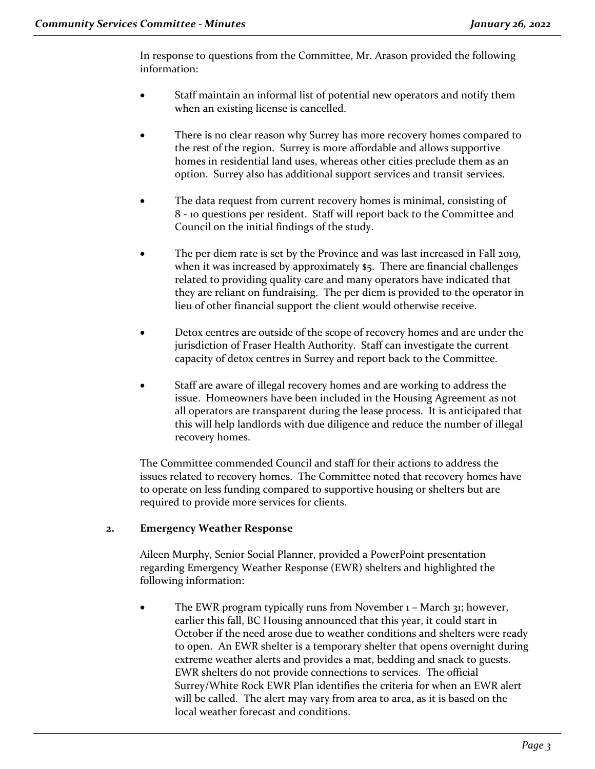In response to questions from the Committee, Mr. Arason provided the following information:

- Staff maintain an informal list of potential new operators and notify them when an existing license is cancelled.
- There is no clear reason why Surrey has more recovery homes compared to the rest of the region. Surrey is more affordable and allows supportive homes in residential land uses, whereas other cities preclude them as an option. Surrey also has additional support services and transit services.
- The data request from current recovery homes is minimal, consisting of 8 - 10 questions per resident. Staff will report back to the Committee and Council on the initial findings of the study.
- The per diem rate is set by the Province and was last increased in Fall 2019, when it was increased by approximately \$5. There are financial challenges related to providing quality care and many operators have indicated that they are reliant on fundraising. The per diem is provided to the operator in lieu of other financial support the client would otherwise receive.
- Detox centres are outside of the scope of recovery homes and are under the jurisdiction of Fraser Health Authority. Staff can investigate the current capacity of detox centres in Surrey and report back to the Committee.
- Staff are aware of illegal recovery homes and are working to address the issue. Homeowners have been included in the Housing Agreement as not all operators are transparent during the lease process. It is anticipated that this will help landlords with due diligence and reduce the number of illegal recovery homes.

The Committee commended Council and staff for their actions to address the issues related to recovery homes. The Committee noted that recovery homes have to operate on less funding compared to supportive housing or shelters but are required to provide more services for clients.

# **2. Emergency Weather Response**

Aileen Murphy, Senior Social Planner, provided a PowerPoint presentation regarding Emergency Weather Response (EWR) shelters and highlighted the following information:

The EWR program typically runs from November 1 – March 31; however, earlier this fall, BC Housing announced that this year, it could start in October if the need arose due to weather conditions and shelters were ready to open. An EWR shelter is a temporary shelter that opens overnight during extreme weather alerts and provides a mat, bedding and snack to guests. EWR shelters do not provide connections to services. The official Surrey/White Rock EWR Plan identifies the criteria for when an EWR alert will be called. The alert may vary from area to area, as it is based on the local weather forecast and conditions.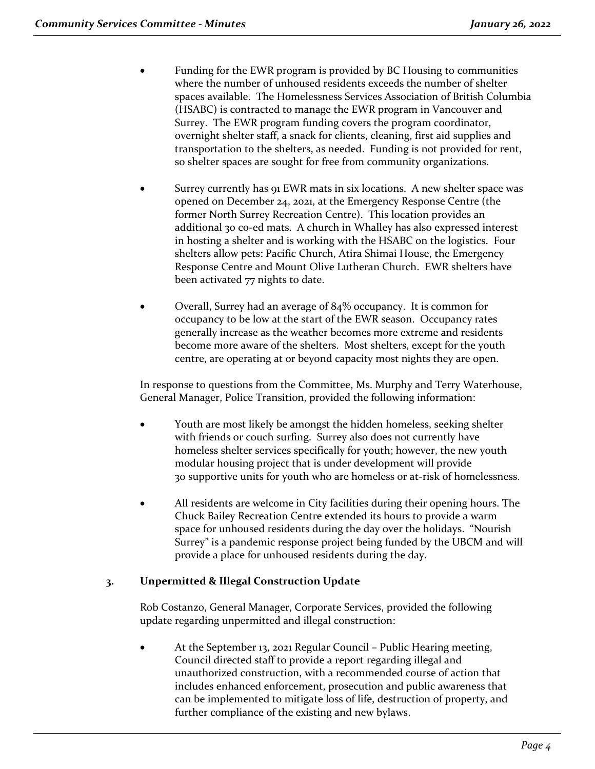- Funding for the EWR program is provided by BC Housing to communities where the number of unhoused residents exceeds the number of shelter spaces available. The Homelessness Services Association of British Columbia (HSABC) is contracted to manage the EWR program in Vancouver and Surrey. The EWR program funding covers the program coordinator, overnight shelter staff, a snack for clients, cleaning, first aid supplies and transportation to the shelters, as needed. Funding is not provided for rent, so shelter spaces are sought for free from community organizations.
- Surrey currently has 91 EWR mats in six locations. A new shelter space was opened on December 24, 2021, at the Emergency Response Centre (the former North Surrey Recreation Centre). This location provides an additional 30 co-ed mats. A church in Whalley has also expressed interest in hosting a shelter and is working with the HSABC on the logistics. Four shelters allow pets: Pacific Church, Atira Shimai House, the Emergency Response Centre and Mount Olive Lutheran Church. EWR shelters have been activated 77 nights to date.
- Overall, Surrey had an average of 84% occupancy. It is common for occupancy to be low at the start of the EWR season. Occupancy rates generally increase as the weather becomes more extreme and residents become more aware of the shelters. Most shelters, except for the youth centre, are operating at or beyond capacity most nights they are open.

In response to questions from the Committee, Ms. Murphy and Terry Waterhouse, General Manager, Police Transition, provided the following information:

- Youth are most likely be amongst the hidden homeless, seeking shelter with friends or couch surfing. Surrey also does not currently have homeless shelter services specifically for youth; however, the new youth modular housing project that is under development will provide 30 supportive units for youth who are homeless or at-risk of homelessness.
- All residents are welcome in City facilities during their opening hours. The Chuck Bailey Recreation Centre extended its hours to provide a warm space for unhoused residents during the day over the holidays. "Nourish Surrey" is a pandemic response project being funded by the UBCM and will provide a place for unhoused residents during the day.

# **3. Unpermitted & Illegal Construction Update**

Rob Costanzo, General Manager, Corporate Services, provided the following update regarding unpermitted and illegal construction:

• At the September 13, 2021 Regular Council – Public Hearing meeting, Council directed staff to provide a report regarding illegal and unauthorized construction, with a recommended course of action that includes enhanced enforcement, prosecution and public awareness that can be implemented to mitigate loss of life, destruction of property, and further compliance of the existing and new bylaws.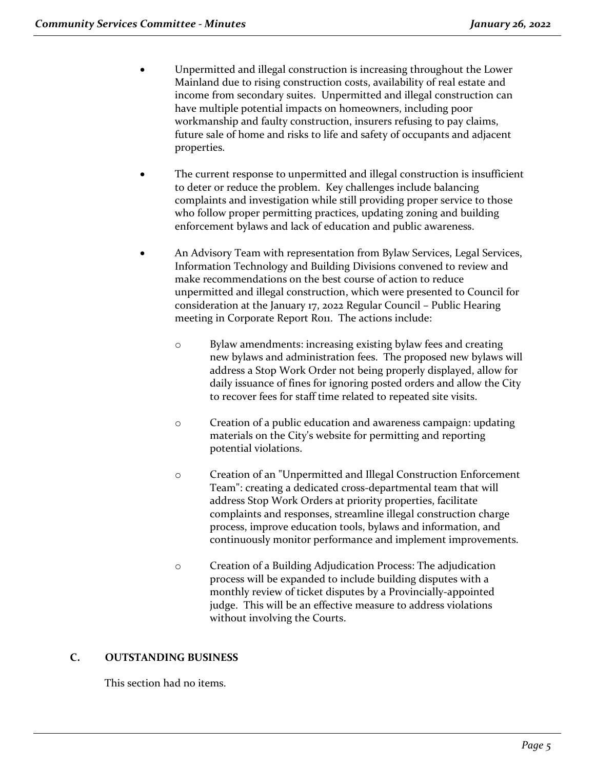- Unpermitted and illegal construction is increasing throughout the Lower Mainland due to rising construction costs, availability of real estate and income from secondary suites. Unpermitted and illegal construction can have multiple potential impacts on homeowners, including poor workmanship and faulty construction, insurers refusing to pay claims, future sale of home and risks to life and safety of occupants and adjacent properties.
- The current response to unpermitted and illegal construction is insufficient to deter or reduce the problem. Key challenges include balancing complaints and investigation while still providing proper service to those who follow proper permitting practices, updating zoning and building enforcement bylaws and lack of education and public awareness.
- An Advisory Team with representation from Bylaw Services, Legal Services, Information Technology and Building Divisions convened to review and make recommendations on the best course of action to reduce unpermitted and illegal construction, which were presented to Council for consideration at the January 17, 2022 Regular Council – Public Hearing meeting in Corporate Report Ro11. The actions include:
	- o Bylaw amendments: increasing existing bylaw fees and creating new bylaws and administration fees. The proposed new bylaws will address a Stop Work Order not being properly displayed, allow for daily issuance of fines for ignoring posted orders and allow the City to recover fees for staff time related to repeated site visits.
	- o Creation of a public education and awareness campaign: updating materials on the City's website for permitting and reporting potential violations.
	- o Creation of an "Unpermitted and Illegal Construction Enforcement Team": creating a dedicated cross-departmental team that will address Stop Work Orders at priority properties, facilitate complaints and responses, streamline illegal construction charge process, improve education tools, bylaws and information, and continuously monitor performance and implement improvements.
	- o Creation of a Building Adjudication Process: The adjudication process will be expanded to include building disputes with a monthly review of ticket disputes by a Provincially-appointed judge. This will be an effective measure to address violations without involving the Courts.

# **C. OUTSTANDING BUSINESS**

This section had no items.